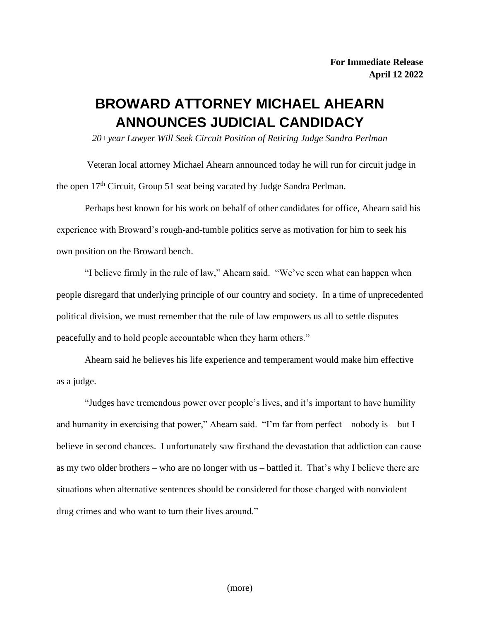## **BROWARD ATTORNEY MICHAEL AHEARN ANNOUNCES JUDICIAL CANDIDACY**

*20+year Lawyer Will Seek Circuit Position of Retiring Judge Sandra Perlman*

Veteran local attorney Michael Ahearn announced today he will run for circuit judge in the open 17<sup>th</sup> Circuit, Group 51 seat being vacated by Judge Sandra Perlman.

Perhaps best known for his work on behalf of other candidates for office, Ahearn said his experience with Broward's rough-and-tumble politics serve as motivation for him to seek his own position on the Broward bench.

"I believe firmly in the rule of law," Ahearn said. "We've seen what can happen when people disregard that underlying principle of our country and society. In a time of unprecedented political division, we must remember that the rule of law empowers us all to settle disputes peacefully and to hold people accountable when they harm others."

Ahearn said he believes his life experience and temperament would make him effective as a judge.

"Judges have tremendous power over people's lives, and it's important to have humility and humanity in exercising that power," Ahearn said. "I'm far from perfect – nobody is – but I believe in second chances. I unfortunately saw firsthand the devastation that addiction can cause as my two older brothers – who are no longer with us – battled it. That's why I believe there are situations when alternative sentences should be considered for those charged with nonviolent drug crimes and who want to turn their lives around."